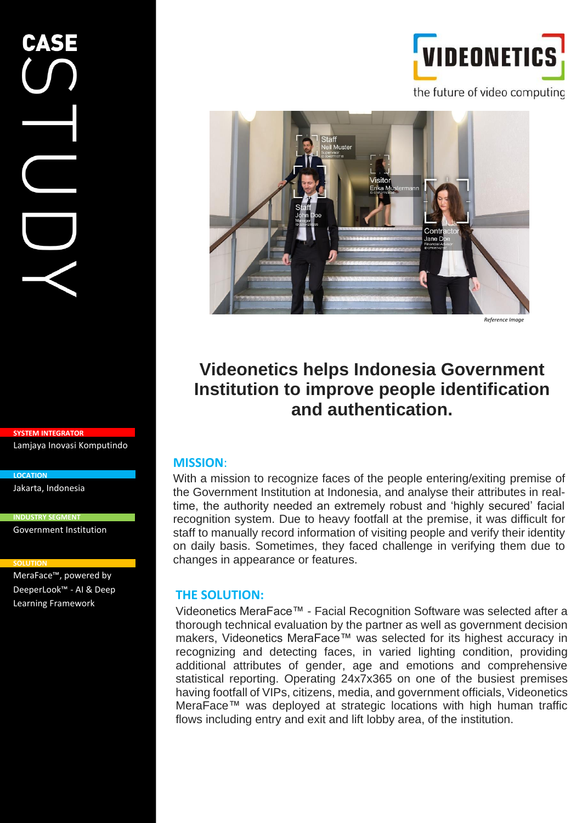**SYSTEM INTEGRATOR** Lamjaya Inovasi Komputindo

Jakarta, Indonesia

**INDUSTRY SEGMENT**

Government Institution

#### **SOLUTION**

**LOCATION**

MeraFace™, powered by DeeperLook™ - AI & Deep Learning Framework



the future of video computing



*Reference Image*

# **Videonetics helps Indonesia Government Institution to improve people identification and authentication.**

# **MISSION**:

With a mission to recognize faces of the people entering/exiting premise of the Government Institution at Indonesia, and analyse their attributes in realtime, the authority needed an extremely robust and 'highly secured' facial recognition system. Due to heavy footfall at the premise, it was difficult for staff to manually record information of visiting people and verify their identity on daily basis. Sometimes, they faced challenge in verifying them due to changes in appearance or features.

## **THE SOLUTION:**

Videonetics MeraFace™ - Facial Recognition Software was selected after a thorough technical evaluation by the partner as well as government decision makers, Videonetics MeraFace™ was selected for its highest accuracy in recognizing and detecting faces, in varied lighting condition, providing additional attributes of gender, age and emotions and comprehensive statistical reporting. Operating 24x7x365 on one of the busiest premises having footfall of VIPs, citizens, media, and government officials, Videonetics MeraFace™ was deployed at strategic locations with high human traffic flows including entry and exit and lift lobby area, of the institution.